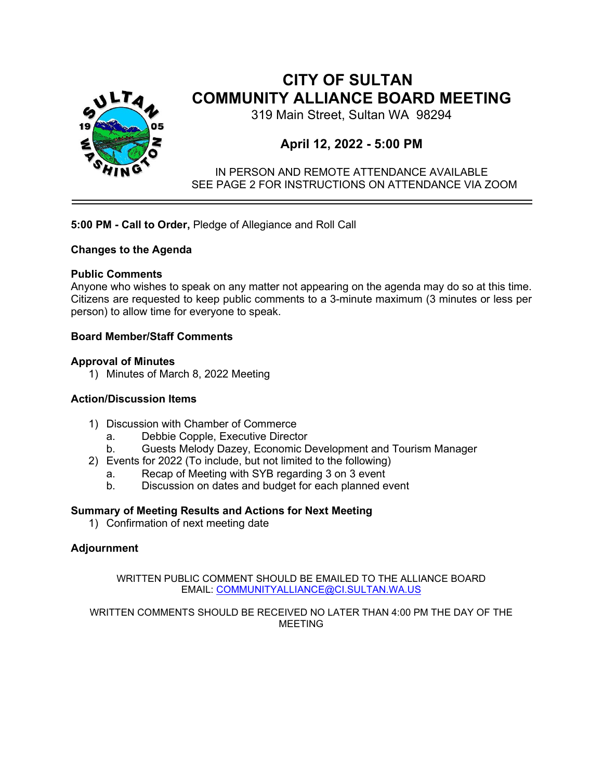

# **CITY OF SULTAN COMMUNITY ALLIANCE BOARD MEETING**

319 Main Street, Sultan WA 98294

## **April 12, 2022 - 5:00 PM**

IN PERSON AND REMOTE ATTENDANCE AVAILABLE SEE PAGE 2 FOR INSTRUCTIONS ON ATTENDANCE VIA ZOOM

## **5:00 PM - Call to Order,** Pledge of Allegiance and Roll Call

### **Changes to the Agenda**

## **Public Comments**

Anyone who wishes to speak on any matter not appearing on the agenda may do so at this time. Citizens are requested to keep public comments to a 3-minute maximum (3 minutes or less per person) to allow time for everyone to speak.

## **Board Member/Staff Comments**

### **Approval of Minutes**

1) Minutes of March 8, 2022 Meeting

### **Action/Discussion Items**

- 1) Discussion with Chamber of Commerce
	- a. Debbie Copple, Executive Director
	- b. Guests Melody Dazey, Economic Development and Tourism Manager
- 2) Events for 2022 (To include, but not limited to the following)
	- a. Recap of Meeting with SYB regarding 3 on 3 event
	- b. Discussion on dates and budget for each planned event

## **Summary of Meeting Results and Actions for Next Meeting**

1) Confirmation of next meeting date

## **Adjournment**

WRITTEN PUBLIC COMMENT SHOULD BE EMAILED TO THE ALLIANCE BOARD EMAIL: [COMMUNITYALLIANCE@CI.SULTAN.WA.US](mailto:TAMI.PEVEY@CI.SULTAN.WA.US)

WRITTEN COMMENTS SHOULD BE RECEIVED NO LATER THAN 4:00 PM THE DAY OF THE MEETING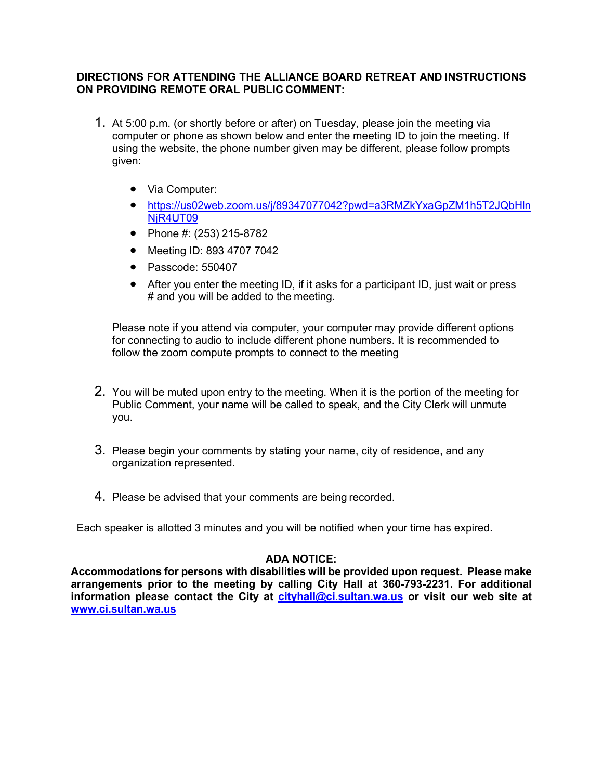### **DIRECTIONS FOR ATTENDING THE ALLIANCE BOARD RETREAT AND INSTRUCTIONS ON PROVIDING REMOTE ORAL PUBLIC COMMENT:**

- 1. At 5:00 p.m. (or shortly before or after) on Tuesday, please join the meeting via computer or phone as shown below and enter the meeting ID to join the meeting. If using the website, the phone number given may be different, please follow prompts given:
	- Via Computer:
	- [https://us02web.zoom.us/j/89347077042?pwd=a3RMZkYxaGpZM1h5T2JQbHln](https://us02web.zoom.us/j/89347077042?pwd=a3RMZkYxaGpZM1h5T2JQbHlnNjR4UT09) NiR4UT09
	- Phone #: (253) 215-8782
	- Meeting ID: 893 4707 7042
	- Passcode: 550407
	- After you enter the meeting ID, if it asks for a participant ID, just wait or press # and you will be added to the meeting.

Please note if you attend via computer, your computer may provide different options for connecting to audio to include different phone numbers. It is recommended to follow the zoom compute prompts to connect to the meeting

- 2. You will be muted upon entry to the meeting. When it is the portion of the meeting for Public Comment, your name will be called to speak, and the City Clerk will unmute you.
- 3. Please begin your comments by stating your name, city of residence, and any organization represented.
- 4. Please be advised that your comments are being recorded.

Each speaker is allotted 3 minutes and you will be notified when your time has expired.

### **ADA NOTICE:**

**Accommodations for persons with disabilities will be provided upon request. Please make arrangements prior to the meeting by calling City Hall at 360-793-2231. For additional information please contact the City at [cityhall@ci.sultan.wa.us](mailto:cityhall@ci.sultan.wa.us) or visit our web site at [www.ci.sultan.wa.us](http://www.ci.sultan.wa.us/)**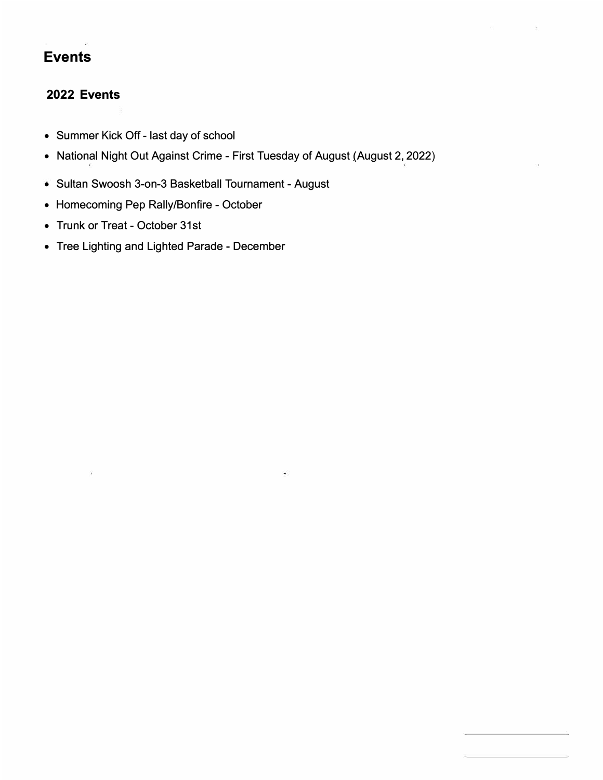# **Events**

## **2022 Events**

- Summer Kick Off last day of school
- National Night Out Against Crime First Tuesday of August (August 2, 2022)
- Sultan Swoosh 3-on-3 Basketball Tournament August
- Homecoming Pep Rally/Bonfire October
- Trunk or Treat October 31st
- Tree Lighting and Lighted Parade December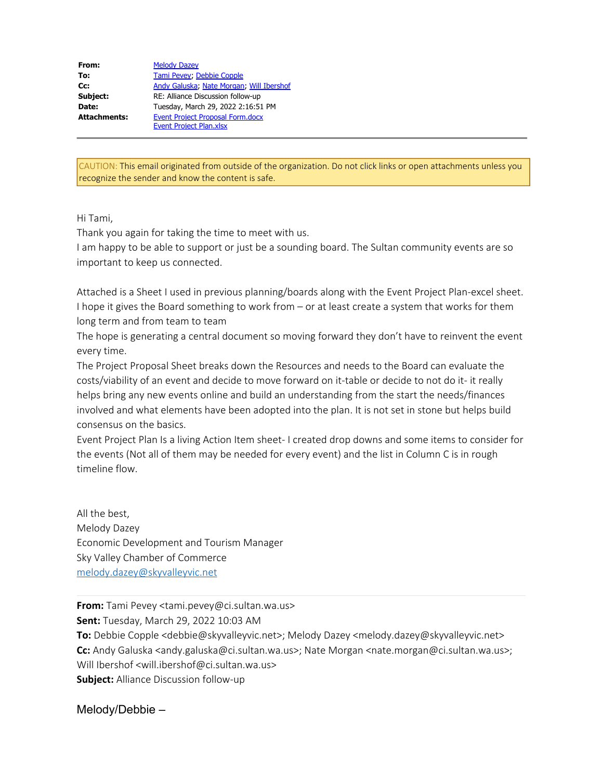| From:               | <b>Melody Dazey</b>                      |  |  |
|---------------------|------------------------------------------|--|--|
| To:                 | Tami Pevey; Debbie Copple                |  |  |
| Cc:                 | Andy Galuska, Nate Morgan, Will Ibershof |  |  |
| Subject:            | RE: Alliance Discussion follow-up        |  |  |
| Date:               | Tuesday, March 29, 2022 2:16:51 PM       |  |  |
| <b>Attachments:</b> | Event Project Proposal Form.docx         |  |  |
|                     | <b>Event Project Plan.xlsx</b>           |  |  |

CAUTION: This email originated from outside of the organization. Do not click links or open attachments unless you recognize the sender and know the content is safe.

Hi Tami,

Thank you again for taking the time to meet with us.

I am happy to be able to support or just be a sounding board. The Sultan community events are so important to keep us connected.

Attached is a Sheet I used in previous planning/boards along with the Event Project Plan-excel sheet. I hope it gives the Board something to work from – or at least create a system that works for them long term and from team to team

The hope is generating a central document so moving forward they don't have to reinvent the event every time.

The Project Proposal Sheet breaks down the Resources and needs to the Board can evaluate the costs/viability of an event and decide to move forward on it-table or decide to not do it- it really helps bring any new events online and build an understanding from the start the needs/finances involved and what elements have been adopted into the plan. It is not set in stone but helps build consensus on the basics.

Event Project Plan Is a living Action Item sheet- I created drop downs and some items to consider for the events (Not all of them may be needed for every event) and the list in Column C is in rough timeline flow.

All the best, Melody Dazey Economic Development and Tourism Manager Sky Valley Chamber of Commerce [melody.dazey@skyvalleyvic.net](mailto:melody.dazey@skyvalleyvic.net)

**From:** Tami Pevey <tami.pevey@ci.sultan.wa.us> **Sent:** Tuesday, March 29, 2022 10:03 AM **To:** Debbie Copple <debbie@skyvalleyvic.net>; Melody Dazey <melody.dazey@skyvalleyvic.net> **Cc:** Andy Galuska <andy.galuska@ci.sultan.wa.us>; Nate Morgan <nate.morgan@ci.sultan.wa.us>; Will Ibershof <will.ibershof@ci.sultan.wa.us> **Subject:** Alliance Discussion follow-up

Melody/Debbie –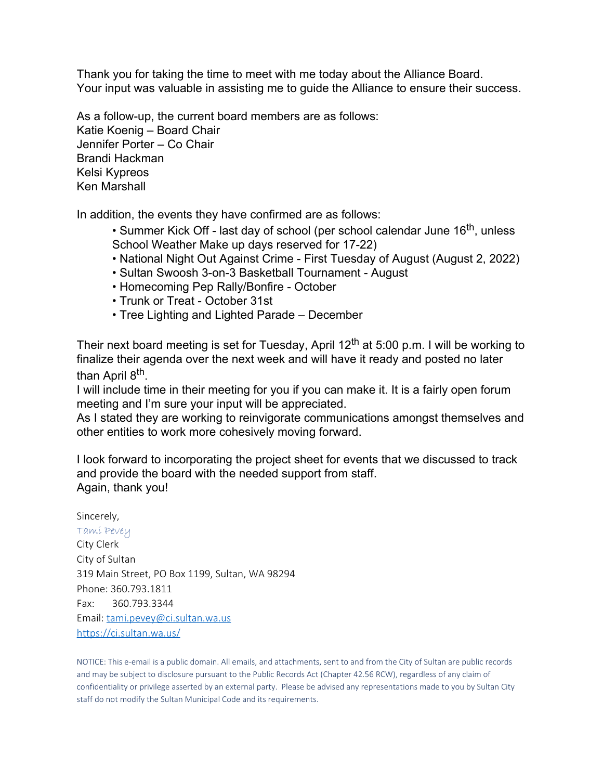Thank you for taking the time to meet with me today about the Alliance Board. Your input was valuable in assisting me to guide the Alliance to ensure their success.

As a follow-up, the current board members are as follows: Katie Koenig – Board Chair Jennifer Porter – Co Chair Brandi Hackman Kelsi Kypreos Ken Marshall

In addition, the events they have confirmed are as follows:

• Summer Kick Off - last day of school (per school calendar June 16<sup>th</sup>, unless School Weather Make up days reserved for 17-22)

- National Night Out Against Crime First Tuesday of August (August 2, 2022)
- Sultan Swoosh 3-on-3 Basketball Tournament August
- Homecoming Pep Rally/Bonfire October
- Trunk or Treat October 31st
- Tree Lighting and Lighted Parade December

Their next board meeting is set for Tuesday, April  $12<sup>th</sup>$  at 5:00 p.m. I will be working to finalize their agenda over the next week and will have it ready and posted no later than April 8<sup>th</sup>.

I will include time in their meeting for you if you can make it. It is a fairly open forum meeting and I'm sure your input will be appreciated.

As I stated they are working to reinvigorate communications amongst themselves and other entities to work more cohesively moving forward.

I look forward to incorporating the project sheet for events that we discussed to track and provide the board with the needed support from staff. Again, thank you!

Sincerely, Tami Pevey City Clerk City of Sultan 319 Main Street, PO Box 1199, Sultan, WA 98294 Phone: 360.793.1811 Fax: 360.793.3344 Email: [tami.pevey@ci.sultan.wa.us](mailto:tami.pevey@ci.sultan.wa.us) <https://ci.sultan.wa.us/>

NOTICE: This e-email is a public domain. All emails, and attachments, sent to and from the City of Sultan are public records and may be subject to disclosure pursuant to the Public Records Act (Chapter 42.56 RCW), regardless of any claim of confidentiality or privilege asserted by an external party. Please be advised any representations made to you by Sultan City staff do not modify the Sultan Municipal Code and its requirements.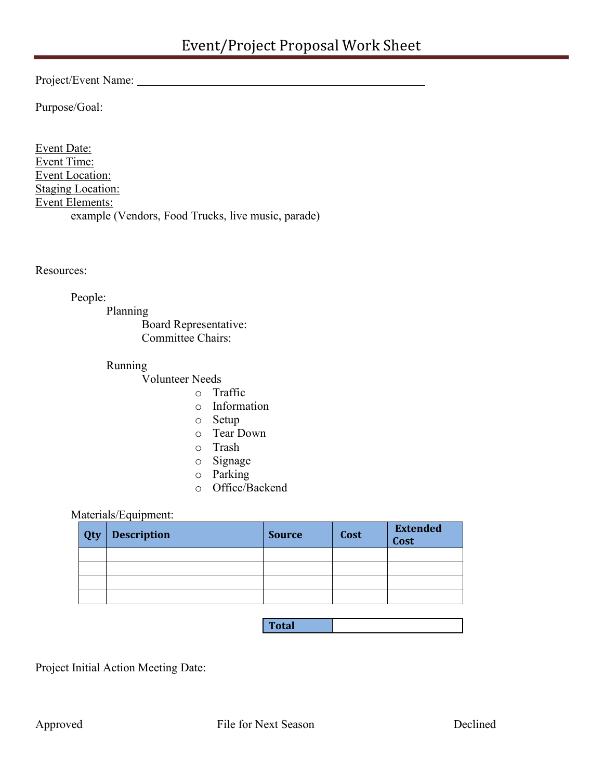Project/Event Name:

Purpose/Goal:

Event Date: Event Time: Event Location: **Staging Location:** Event Elements: example (Vendors, Food Trucks, live music, parade)

Resources:

People:

Planning Board Representative: Committee Chairs:

Running

Volunteer Needs

- o Traffic
- o Information
- o Setup
- o Tear Down
- o Trash
- o Signage
- o Parking
- o Office/Backend

### Materials/Equipment:

| Qty | <b>Description</b> | <b>Source</b> | Cost | <b>Extended</b><br><b>Cost</b> |  |  |
|-----|--------------------|---------------|------|--------------------------------|--|--|
|     |                    |               |      |                                |  |  |
|     |                    |               |      |                                |  |  |
|     |                    |               |      |                                |  |  |
|     |                    |               |      |                                |  |  |

| I<br>station in<br>i otal |  |
|---------------------------|--|
|                           |  |

Project Initial Action Meeting Date: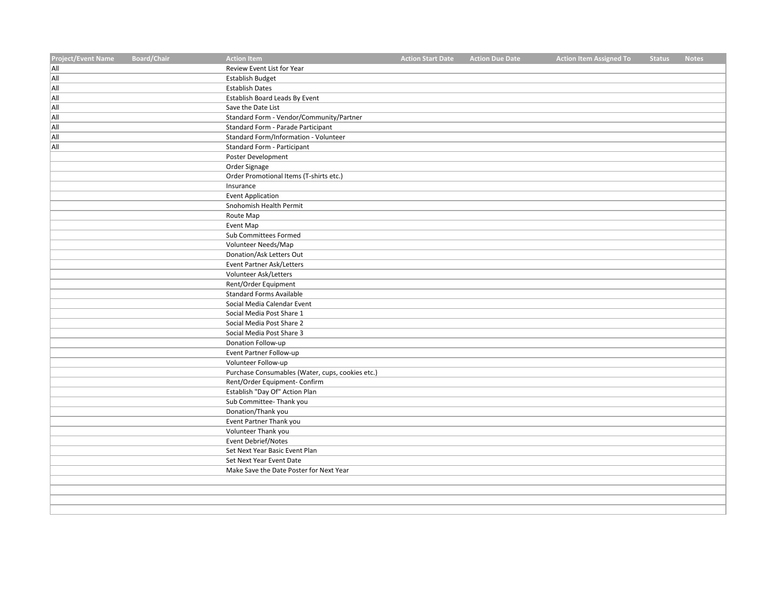| <b>Project/Event Name</b> | <b>Board/Chair</b> | <b>Action Item</b>                                         | <b>Action Start Date</b> | <b>Action Due Date</b> | <b>Action Item Assigned To</b> | <b>Status</b> | <b>Notes</b> |
|---------------------------|--------------------|------------------------------------------------------------|--------------------------|------------------------|--------------------------------|---------------|--------------|
| All                       |                    | Review Event List for Year                                 |                          |                        |                                |               |              |
| All                       |                    | <b>Establish Budget</b>                                    |                          |                        |                                |               |              |
| All                       |                    | <b>Establish Dates</b>                                     |                          |                        |                                |               |              |
| All                       |                    | Establish Board Leads By Event                             |                          |                        |                                |               |              |
| All                       |                    | Save the Date List                                         |                          |                        |                                |               |              |
| All                       |                    | Standard Form - Vendor/Community/Partner                   |                          |                        |                                |               |              |
| All                       |                    | Standard Form - Parade Participant                         |                          |                        |                                |               |              |
| All                       |                    | Standard Form/Information - Volunteer                      |                          |                        |                                |               |              |
| All                       |                    | Standard Form - Participant                                |                          |                        |                                |               |              |
|                           |                    | Poster Development                                         |                          |                        |                                |               |              |
|                           |                    | Order Signage                                              |                          |                        |                                |               |              |
|                           |                    | Order Promotional Items (T-shirts etc.)                    |                          |                        |                                |               |              |
|                           |                    | Insurance                                                  |                          |                        |                                |               |              |
|                           |                    | <b>Event Application</b>                                   |                          |                        |                                |               |              |
|                           |                    | Snohomish Health Permit                                    |                          |                        |                                |               |              |
|                           |                    | Route Map                                                  |                          |                        |                                |               |              |
|                           |                    | Event Map                                                  |                          |                        |                                |               |              |
|                           |                    | Sub Committees Formed                                      |                          |                        |                                |               |              |
|                           |                    | Volunteer Needs/Map                                        |                          |                        |                                |               |              |
|                           |                    | Donation/Ask Letters Out                                   |                          |                        |                                |               |              |
|                           |                    | <b>Event Partner Ask/Letters</b>                           |                          |                        |                                |               |              |
|                           |                    | Volunteer Ask/Letters                                      |                          |                        |                                |               |              |
|                           |                    | Rent/Order Equipment                                       |                          |                        |                                |               |              |
|                           |                    | <b>Standard Forms Available</b>                            |                          |                        |                                |               |              |
|                           |                    | Social Media Calendar Event                                |                          |                        |                                |               |              |
|                           |                    | Social Media Post Share 1                                  |                          |                        |                                |               |              |
|                           |                    | Social Media Post Share 2                                  |                          |                        |                                |               |              |
|                           |                    | Social Media Post Share 3                                  |                          |                        |                                |               |              |
|                           |                    | Donation Follow-up                                         |                          |                        |                                |               |              |
|                           |                    | Event Partner Follow-up                                    |                          |                        |                                |               |              |
|                           |                    | Volunteer Follow-up                                        |                          |                        |                                |               |              |
|                           |                    | Purchase Consumables (Water, cups, cookies etc.)           |                          |                        |                                |               |              |
|                           |                    | Rent/Order Equipment- Confirm                              |                          |                        |                                |               |              |
|                           |                    | Establish "Day Of" Action Plan                             |                          |                        |                                |               |              |
|                           |                    | Sub Committee- Thank you                                   |                          |                        |                                |               |              |
|                           |                    | Donation/Thank you                                         |                          |                        |                                |               |              |
|                           |                    | Event Partner Thank you                                    |                          |                        |                                |               |              |
|                           |                    | Volunteer Thank you                                        |                          |                        |                                |               |              |
|                           |                    | <b>Event Debrief/Notes</b>                                 |                          |                        |                                |               |              |
|                           |                    | Set Next Year Basic Event Plan<br>Set Next Year Event Date |                          |                        |                                |               |              |
|                           |                    | Make Save the Date Poster for Next Year                    |                          |                        |                                |               |              |
|                           |                    |                                                            |                          |                        |                                |               |              |
|                           |                    |                                                            |                          |                        |                                |               |              |
|                           |                    |                                                            |                          |                        |                                |               |              |
|                           |                    |                                                            |                          |                        |                                |               |              |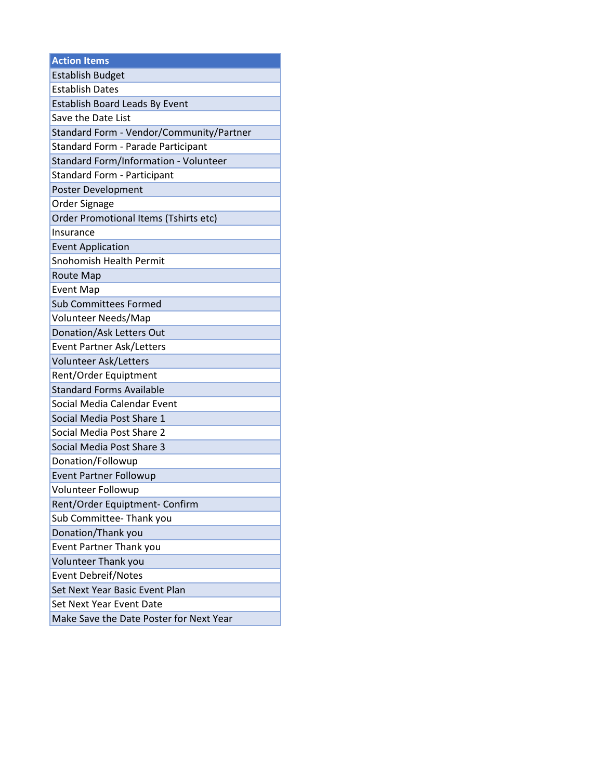| <b>Action Items</b>                      |
|------------------------------------------|
| <b>Establish Budget</b>                  |
| <b>Establish Dates</b>                   |
| <b>Establish Board Leads By Event</b>    |
| Save the Date List                       |
| Standard Form - Vendor/Community/Partner |
| Standard Form - Parade Participant       |
| Standard Form/Information - Volunteer    |
| <b>Standard Form - Participant</b>       |
| Poster Development                       |
| Order Signage                            |
| Order Promotional Items (Tshirts etc)    |
| Insurance                                |
| <b>Event Application</b>                 |
| Snohomish Health Permit                  |
| <b>Route Map</b>                         |
| <b>Event Map</b>                         |
| Sub Committees Formed                    |
| Volunteer Needs/Map                      |
| Donation/Ask Letters Out                 |
| <b>Event Partner Ask/Letters</b>         |
| Volunteer Ask/Letters                    |
| Rent/Order Equiptment                    |
| <b>Standard Forms Available</b>          |
| Social Media Calendar Event              |
| Social Media Post Share 1                |
| Social Media Post Share 2                |
| Social Media Post Share 3                |
| Donation/Followup                        |
| <b>Event Partner Followup</b>            |
| Volunteer Followup                       |
| Rent/Order Equiptment- Confirm           |
| Sub Committee-Thank you                  |
| Donation/Thank you                       |
| Event Partner Thank you                  |
| Volunteer Thank you                      |
| <b>Event Debreif/Notes</b>               |
| Set Next Year Basic Event Plan           |
| Set Next Year Event Date                 |
| Make Save the Date Poster for Next Year  |